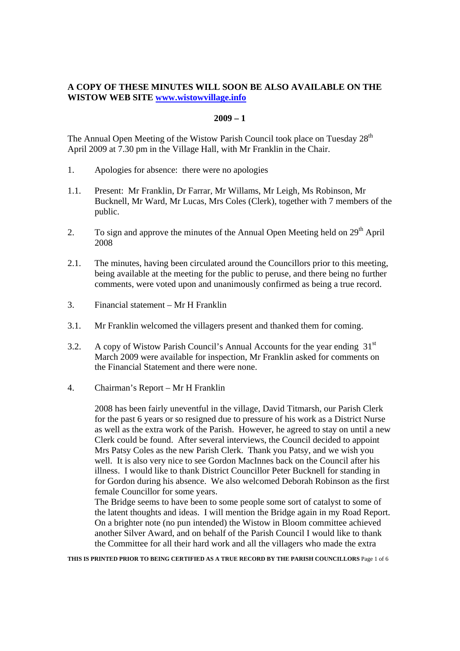# **A COPY OF THESE MINUTES WILL SOON BE ALSO AVAILABLE ON THE WISTOW WEB SITE www.wistowvillage.info**

#### **2009 – 1**

The Annual Open Meeting of the Wistow Parish Council took place on Tuesday  $28<sup>th</sup>$ April 2009 at 7.30 pm in the Village Hall, with Mr Franklin in the Chair.

- 1. Apologies for absence: there were no apologies
- 1.1. Present: Mr Franklin, Dr Farrar, Mr Willams, Mr Leigh, Ms Robinson, Mr Bucknell, Mr Ward, Mr Lucas, Mrs Coles (Clerk), together with 7 members of the public.
- 2. To sign and approve the minutes of the Annual Open Meeting held on  $29<sup>th</sup>$  April 2008
- 2.1. The minutes, having been circulated around the Councillors prior to this meeting, being available at the meeting for the public to peruse, and there being no further comments, were voted upon and unanimously confirmed as being a true record.
- 3. Financial statement Mr H Franklin
- 3.1. Mr Franklin welcomed the villagers present and thanked them for coming.
- 3.2. A copy of Wistow Parish Council's Annual Accounts for the year ending  $31<sup>st</sup>$ March 2009 were available for inspection, Mr Franklin asked for comments on the Financial Statement and there were none.
- 4. Chairman's Report Mr H Franklin

 2008 has been fairly uneventful in the village, David Titmarsh, our Parish Clerk for the past 6 years or so resigned due to pressure of his work as a District Nurse as well as the extra work of the Parish. However, he agreed to stay on until a new Clerk could be found. After several interviews, the Council decided to appoint Mrs Patsy Coles as the new Parish Clerk. Thank you Patsy, and we wish you well. It is also very nice to see Gordon MacInnes back on the Council after his illness. I would like to thank District Councillor Peter Bucknell for standing in for Gordon during his absence. We also welcomed Deborah Robinson as the first female Councillor for some years.

 The Bridge seems to have been to some people some sort of catalyst to some of the latent thoughts and ideas. I will mention the Bridge again in my Road Report. On a brighter note (no pun intended) the Wistow in Bloom committee achieved another Silver Award, and on behalf of the Parish Council I would like to thank the Committee for all their hard work and all the villagers who made the extra

**THIS IS PRINTED PRIOR TO BEING CERTIFIED AS A TRUE RECORD BY THE PARISH COUNCILLORS** Page 1 of 6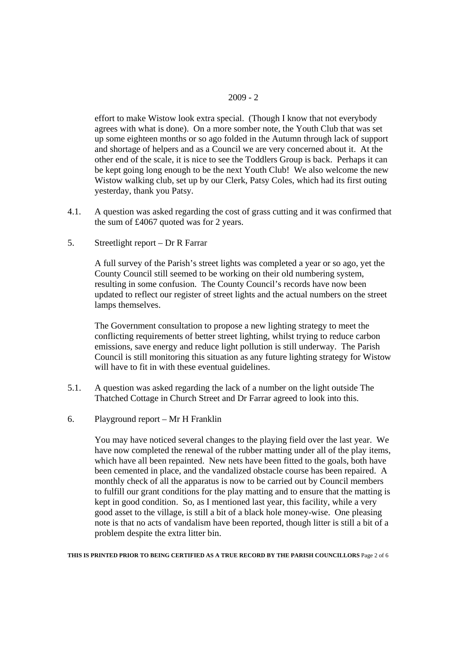effort to make Wistow look extra special. (Though I know that not everybody agrees with what is done). On a more somber note, the Youth Club that was set up some eighteen months or so ago folded in the Autumn through lack of support and shortage of helpers and as a Council we are very concerned about it. At the other end of the scale, it is nice to see the Toddlers Group is back. Perhaps it can be kept going long enough to be the next Youth Club! We also welcome the new Wistow walking club, set up by our Clerk, Patsy Coles, which had its first outing yesterday, thank you Patsy.

- 4.1. A question was asked regarding the cost of grass cutting and it was confirmed that the sum of £4067 quoted was for 2 years.
- 5. Streetlight report Dr R Farrar

 A full survey of the Parish's street lights was completed a year or so ago, yet the County Council still seemed to be working on their old numbering system, resulting in some confusion. The County Council's records have now been updated to reflect our register of street lights and the actual numbers on the street lamps themselves.

 The Government consultation to propose a new lighting strategy to meet the conflicting requirements of better street lighting, whilst trying to reduce carbon emissions, save energy and reduce light pollution is still underway. The Parish Council is still monitoring this situation as any future lighting strategy for Wistow will have to fit in with these eventual guidelines.

- 5.1. A question was asked regarding the lack of a number on the light outside The Thatched Cottage in Church Street and Dr Farrar agreed to look into this.
- 6. Playground report Mr H Franklin

 You may have noticed several changes to the playing field over the last year. We have now completed the renewal of the rubber matting under all of the play items, which have all been repainted. New nets have been fitted to the goals, both have been cemented in place, and the vandalized obstacle course has been repaired. A monthly check of all the apparatus is now to be carried out by Council members to fulfill our grant conditions for the play matting and to ensure that the matting is kept in good condition. So, as I mentioned last year, this facility, while a very good asset to the village, is still a bit of a black hole money-wise. One pleasing note is that no acts of vandalism have been reported, though litter is still a bit of a problem despite the extra litter bin.

**THIS IS PRINTED PRIOR TO BEING CERTIFIED AS A TRUE RECORD BY THE PARISH COUNCILLORS** Page 2 of 6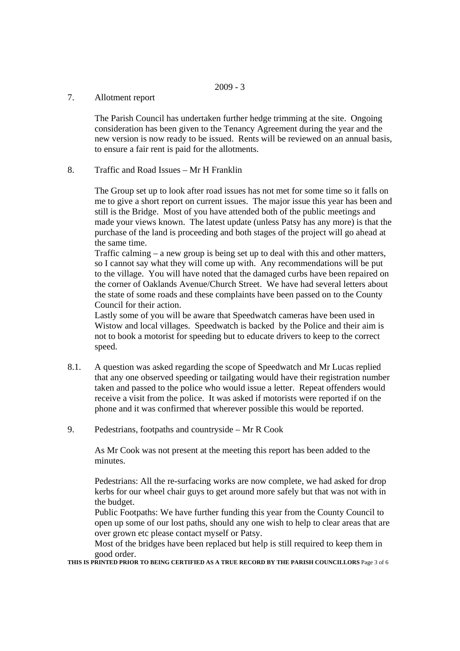### 7. Allotment report

 The Parish Council has undertaken further hedge trimming at the site. Ongoing consideration has been given to the Tenancy Agreement during the year and the new version is now ready to be issued. Rents will be reviewed on an annual basis, to ensure a fair rent is paid for the allotments.

### 8. Traffic and Road Issues – Mr H Franklin

 The Group set up to look after road issues has not met for some time so it falls on me to give a short report on current issues. The major issue this year has been and still is the Bridge. Most of you have attended both of the public meetings and made your views known. The latest update (unless Patsy has any more) is that the purchase of the land is proceeding and both stages of the project will go ahead at the same time.

 Traffic calming – a new group is being set up to deal with this and other matters, so I cannot say what they will come up with. Any recommendations will be put to the village. You will have noted that the damaged curbs have been repaired on the corner of Oaklands Avenue/Church Street. We have had several letters about the state of some roads and these complaints have been passed on to the County Council for their action.

 Lastly some of you will be aware that Speedwatch cameras have been used in Wistow and local villages. Speedwatch is backed by the Police and their aim is not to book a motorist for speeding but to educate drivers to keep to the correct speed.

- 8.1. A question was asked regarding the scope of Speedwatch and Mr Lucas replied that any one observed speeding or tailgating would have their registration number taken and passed to the police who would issue a letter. Repeat offenders would receive a visit from the police. It was asked if motorists were reported if on the phone and it was confirmed that wherever possible this would be reported.
- 9. Pedestrians, footpaths and countryside Mr R Cook

 As Mr Cook was not present at the meeting this report has been added to the minutes.

Pedestrians: All the re-surfacing works are now complete, we had asked for drop kerbs for our wheel chair guys to get around more safely but that was not with in the budget.

Public Footpaths: We have further funding this year from the County Council to open up some of our lost paths, should any one wish to help to clear areas that are over grown etc please contact myself or Patsy.

Most of the bridges have been replaced but help is still required to keep them in good order.

**THIS IS PRINTED PRIOR TO BEING CERTIFIED AS A TRUE RECORD BY THE PARISH COUNCILLORS** Page 3 of 6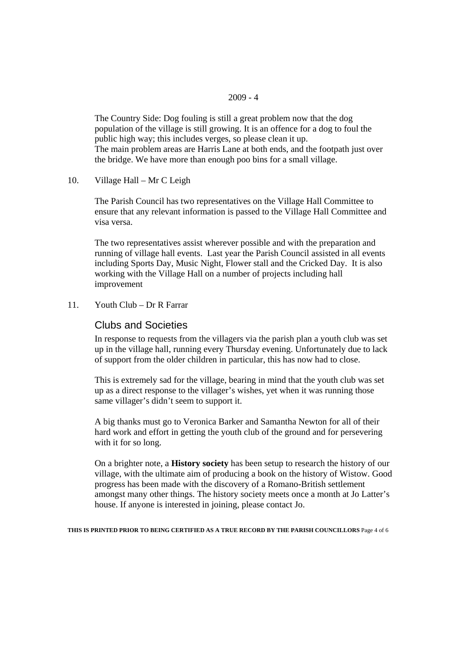The Country Side: Dog fouling is still a great problem now that the dog population of the village is still growing. It is an offence for a dog to foul the public high way; this includes verges, so please clean it up. The main problem areas are Harris Lane at both ends, and the footpath just over the bridge. We have more than enough poo bins for a small village.

10. Village Hall – Mr C Leigh

 The Parish Council has two representatives on the Village Hall Committee to ensure that any relevant information is passed to the Village Hall Committee and visa versa.

 The two representatives assist wherever possible and with the preparation and running of village hall events. Last year the Parish Council assisted in all events including Sports Day, Music Night, Flower stall and the Cricked Day. It is also working with the Village Hall on a number of projects including hall improvement

11. Youth Club – Dr R Farrar

# Clubs and Societies

In response to requests from the villagers via the parish plan a youth club was set up in the village hall, running every Thursday evening. Unfortunately due to lack of support from the older children in particular, this has now had to close.

This is extremely sad for the village, bearing in mind that the youth club was set up as a direct response to the villager's wishes, yet when it was running those same villager's didn't seem to support it.

A big thanks must go to Veronica Barker and Samantha Newton for all of their hard work and effort in getting the youth club of the ground and for persevering with it for so long.

On a brighter note, a **History society** has been setup to research the history of our village, with the ultimate aim of producing a book on the history of Wistow. Good progress has been made with the discovery of a Romano-British settlement amongst many other things. The history society meets once a month at Jo Latter's house. If anyone is interested in joining, please contact Jo.

**THIS IS PRINTED PRIOR TO BEING CERTIFIED AS A TRUE RECORD BY THE PARISH COUNCILLORS** Page 4 of 6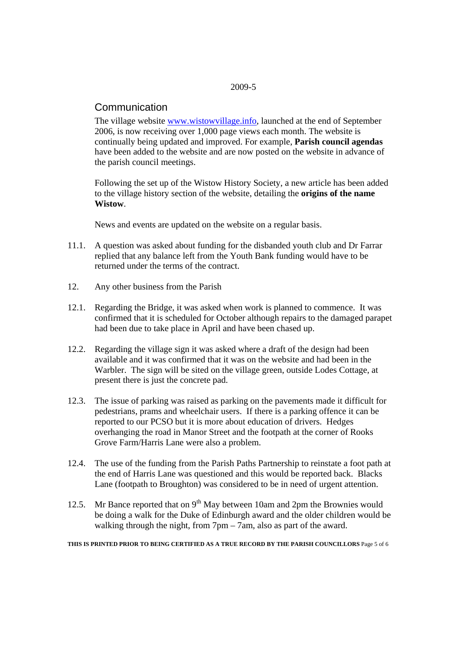# Communication

The village website www.wistowvillage.info, launched at the end of September 2006, is now receiving over 1,000 page views each month. The website is continually being updated and improved. For example, **Parish council agendas** have been added to the website and are now posted on the website in advance of the parish council meetings.

Following the set up of the Wistow History Society, a new article has been added to the village history section of the website, detailing the **origins of the name Wistow**.

News and events are updated on the website on a regular basis.

- 11.1. A question was asked about funding for the disbanded youth club and Dr Farrar replied that any balance left from the Youth Bank funding would have to be returned under the terms of the contract.
- 12. Any other business from the Parish
- 12.1. Regarding the Bridge, it was asked when work is planned to commence. It was confirmed that it is scheduled for October although repairs to the damaged parapet had been due to take place in April and have been chased up.
- 12.2. Regarding the village sign it was asked where a draft of the design had been available and it was confirmed that it was on the website and had been in the Warbler. The sign will be sited on the village green, outside Lodes Cottage, at present there is just the concrete pad.
- 12.3. The issue of parking was raised as parking on the pavements made it difficult for pedestrians, prams and wheelchair users. If there is a parking offence it can be reported to our PCSO but it is more about education of drivers. Hedges overhanging the road in Manor Street and the footpath at the corner of Rooks Grove Farm/Harris Lane were also a problem.
- 12.4. The use of the funding from the Parish Paths Partnership to reinstate a foot path at the end of Harris Lane was questioned and this would be reported back. Blacks Lane (footpath to Broughton) was considered to be in need of urgent attention.
- 12.5. Mr Bance reported that on  $9<sup>th</sup>$  May between 10am and 2pm the Brownies would be doing a walk for the Duke of Edinburgh award and the older children would be walking through the night, from 7pm – 7am, also as part of the award.

**THIS IS PRINTED PRIOR TO BEING CERTIFIED AS A TRUE RECORD BY THE PARISH COUNCILLORS** Page 5 of 6